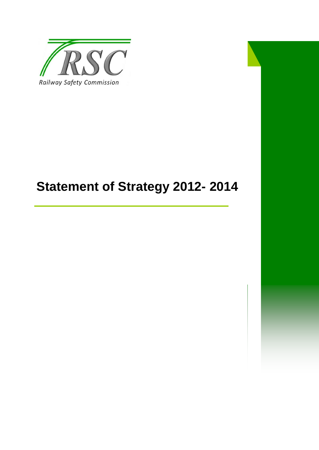

# **Statement of Strategy 2012- 2014**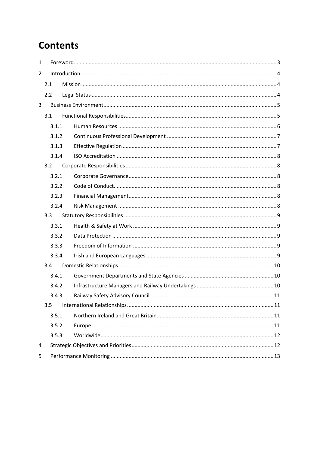# **Contents**

| $\mathbf{1}$ |     |                |  |  |  |  |
|--------------|-----|----------------|--|--|--|--|
| 2            |     |                |  |  |  |  |
|              | 2.1 |                |  |  |  |  |
|              | 2.2 |                |  |  |  |  |
| 3            |     |                |  |  |  |  |
|              | 3.1 |                |  |  |  |  |
|              |     | 3.1.1          |  |  |  |  |
|              |     | 3.1.2          |  |  |  |  |
|              |     | 3.1.3          |  |  |  |  |
|              |     | 3.1.4          |  |  |  |  |
|              | 3.2 |                |  |  |  |  |
|              |     | 3.2.1          |  |  |  |  |
|              |     | 3.2.2          |  |  |  |  |
|              |     | 3.2.3          |  |  |  |  |
|              |     | 3.2.4          |  |  |  |  |
|              | 3.3 |                |  |  |  |  |
|              |     | 3.3.1          |  |  |  |  |
|              |     | 3.3.2          |  |  |  |  |
|              |     | 3.3.3          |  |  |  |  |
|              |     | 3.3.4          |  |  |  |  |
|              | 3.4 |                |  |  |  |  |
|              |     | 3.4.1          |  |  |  |  |
|              |     | 3.4.2          |  |  |  |  |
|              |     | 3.4.3          |  |  |  |  |
|              | 3.5 |                |  |  |  |  |
|              |     | 3.5.1<br>3.5.2 |  |  |  |  |
|              |     |                |  |  |  |  |
|              |     | 3.5.3          |  |  |  |  |
| 4            |     |                |  |  |  |  |
| 5            |     |                |  |  |  |  |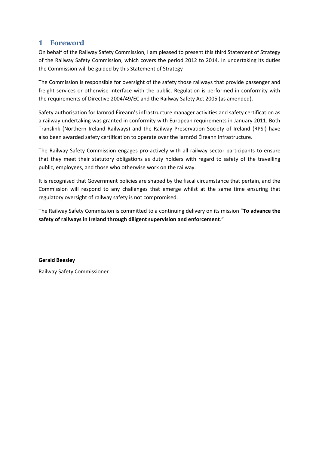# <span id="page-2-0"></span>**1 Foreword**

On behalf of the Railway Safety Commission, I am pleased to present this third Statement of Strategy of the Railway Safety Commission, which covers the period 2012 to 2014. In undertaking its duties the Commission will be guided by this Statement of Strategy

The Commission is responsible for oversight of the safety those railways that provide passenger and freight services or otherwise interface with the public. Regulation is performed in conformity with the requirements of Directive 2004/49/EC and the Railway Safety Act 2005 (as amended).

Safety authorisation for Iarnród Éireann's infrastructure manager activities and safety certification as a railway undertaking was granted in conformity with European requirements in January 2011. Both Translink (Northern Ireland Railways) and the Railway Preservation Society of Ireland (RPSI) have also been awarded safety certification to operate over the Iarnród Éireann infrastructure.

The Railway Safety Commission engages pro-actively with all railway sector participants to ensure that they meet their statutory obligations as duty holders with regard to safety of the travelling public, employees, and those who otherwise work on the railway.

It is recognised that Government policies are shaped by the fiscal circumstance that pertain, and the Commission will respond to any challenges that emerge whilst at the same time ensuring that regulatory oversight of railway safety is not compromised.

The Railway Safety Commission is committed to a continuing delivery on its mission "**To advance the safety of railways in Ireland through diligent supervision and enforcement**."

**Gerald Beesley** Railway Safety Commissioner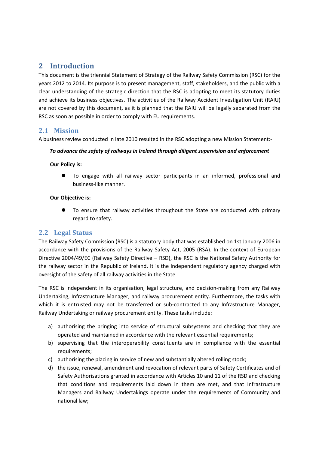# <span id="page-3-0"></span>**2 Introduction**

This document is the triennial Statement of Strategy of the Railway Safety Commission (RSC) for the years 2012 to 2014. Its purpose is to present management, staff, stakeholders, and the public with a clear understanding of the strategic direction that the RSC is adopting to meet its statutory duties and achieve its business objectives. The activities of the Railway Accident Investigation Unit (RAIU) are not covered by this document, as it is planned that the RAIU will be legally separated from the RSC as soon as possible in order to comply with EU requirements.

### <span id="page-3-1"></span>**2.1 Mission**

A business review conducted in late 2010 resulted in the RSC adopting a new Mission Statement:-

#### *To advance the safety of railways in Ireland through diligent supervision and enforcement*

#### **Our Policy is:**

 To engage with all railway sector participants in an informed, professional and business-like manner.

#### **Our Objective is:**

 To ensure that railway activities throughout the State are conducted with primary regard to safety.

#### <span id="page-3-2"></span>**2.2 Legal Status**

The Railway Safety Commission (RSC) is a statutory body that was established on 1st January 2006 in accordance with the provisions of the Railway Safety Act, 2005 (RSA). In the context of European Directive 2004/49/EC (Railway Safety Directive – RSD), the RSC is the National Safety Authority for the railway sector in the Republic of Ireland. It is the independent regulatory agency charged with oversight of the safety of all railway activities in the State.

The RSC is independent in its organisation, legal structure, and decision-making from any Railway Undertaking, Infrastructure Manager, and railway procurement entity. Furthermore, the tasks with which it is entrusted may not be transferred or sub-contracted to any Infrastructure Manager, Railway Undertaking or railway procurement entity. These tasks include:

- a) authorising the bringing into service of structural subsystems and checking that they are operated and maintained in accordance with the relevant essential requirements;
- b) supervising that the interoperability constituents are in compliance with the essential requirements;
- c) authorising the placing in service of new and substantially altered rolling stock;
- d) the issue, renewal, amendment and revocation of relevant parts of Safety Certificates and of Safety Authorisations granted in accordance with Articles 10 and 11 of the RSD and checking that conditions and requirements laid down in them are met, and that Infrastructure Managers and Railway Undertakings operate under the requirements of Community and national law;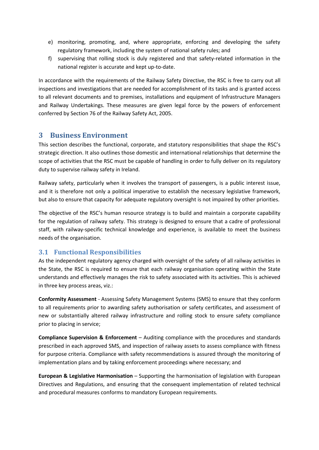- e) monitoring, promoting, and, where appropriate, enforcing and developing the safety regulatory framework, including the system of national safety rules; and
- f) supervising that rolling stock is duly registered and that safety-related information in the national register is accurate and kept up-to-date.

In accordance with the requirements of the Railway Safety Directive, the RSC is free to carry out all inspections and investigations that are needed for accomplishment of its tasks and is granted access to all relevant documents and to premises, installations and equipment of Infrastructure Managers and Railway Undertakings. These measures are given legal force by the powers of enforcement conferred by Section 76 of the Railway Safety Act, 2005.

# <span id="page-4-0"></span>**3 Business Environment**

This section describes the functional, corporate, and statutory responsibilities that shape the RSC's strategic direction. It also outlines those domestic and international relationships that determine the scope of activities that the RSC must be capable of handling in order to fully deliver on its regulatory duty to supervise railway safety in Ireland.

Railway safety, particularly when it involves the transport of passengers, is a public interest issue, and it is therefore not only a political imperative to establish the necessary legislative framework, but also to ensure that capacity for adequate regulatory oversight is not impaired by other priorities.

The objective of the RSC's human resource strategy is to build and maintain a corporate capability for the regulation of railway safety. This strategy is designed to ensure that a cadre of professional staff, with railway-specific technical knowledge and experience, is available to meet the business needs of the organisation.

# <span id="page-4-1"></span>**3.1 Functional Responsibilities**

As the independent regulatory agency charged with oversight of the safety of all railway activities in the State, the RSC is required to ensure that each railway organisation operating within the State understands and effectively manages the risk to safety associated with its activities. This is achieved in three key process areas, viz.:

**Conformity Assessment** - Assessing Safety Management Systems (SMS) to ensure that they conform to all requirements prior to awarding safety authorisation or safety certificates, and assessment of new or substantially altered railway infrastructure and rolling stock to ensure safety compliance prior to placing in service;

**Compliance Supervision & Enforcement** – Auditing compliance with the procedures and standards prescribed in each approved SMS, and inspection of railway assets to assess compliance with fitness for purpose criteria. Compliance with safety recommendations is assured through the monitoring of implementation plans and by taking enforcement proceedings where necessary; and

**European & Legislative Harmonisation** – Supporting the harmonisation of legislation with European Directives and Regulations, and ensuring that the consequent implementation of related technical and procedural measures conforms to mandatory European requirements.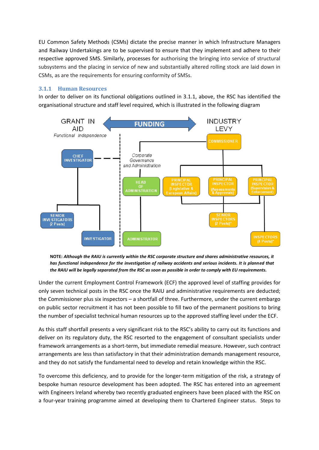EU Common Safety Methods (CSMs) dictate the precise manner in which Infrastructure Managers and Railway Undertakings are to be supervised to ensure that they implement and adhere to their respective approved SMS. Similarly, processes for authorising the bringing into service of structural subsystems and the placing in service of new and substantially altered rolling stock are laid down in CSMs, as are the requirements for ensuring conformity of SMSs.

#### <span id="page-5-0"></span>**3.1.1 Human Resources**

In order to deliver on its functional obligations outlined in 3.1.1, above, the RSC has identified the organisational structure and staff level required, which is illustrated in the following diagram



**NOTE:** *Although the RAIU is currently within the RSC corporate structure and shares administrative resources, it has functional independence for the investigation of railway accidents and serious incidents. It is planned that the RAIU will be legally separated from the RSC as soon as possible in order to comply with EU requirements.*

Under the current Employment Control Framework (ECF) the approved level of staffing provides for only seven technical posts in the RSC once the RAIU and administrative requirements are deducted; the Commissioner plus six inspectors – a shortfall of three. Furthermore, under the current embargo on public sector recruitment it has not been possible to fill two of the permanent positions to bring the number of specialist technical human resources up to the approved staffing level under the ECF.

As this staff shortfall presents a very significant risk to the RSC's ability to carry out its functions and deliver on its regulatory duty, the RSC resorted to the engagement of consultant specialists under framework arrangements as a short-term, but immediate remedial measure. However, such contract arrangements are less than satisfactory in that their administration demands management resource, and they do not satisfy the fundamental need to develop and retain knowledge within the RSC.

To overcome this deficiency, and to provide for the longer-term mitigation of the risk, a strategy of bespoke human resource development has been adopted. The RSC has entered into an agreement with Engineers Ireland whereby two recently graduated engineers have been placed with the RSC on a four-year training programme aimed at developing them to Chartered Engineer status. Steps to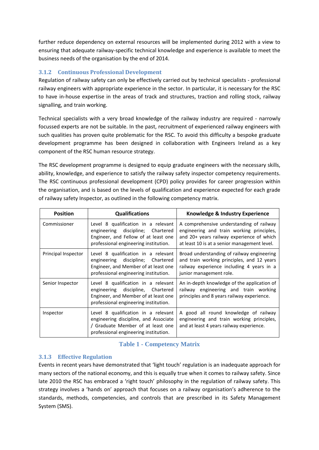further reduce dependency on external resources will be implemented during 2012 with a view to ensuring that adequate railway-specific technical knowledge and experience is available to meet the business needs of the organisation by the end of 2014.

#### <span id="page-6-0"></span>**3.1.2 Continuous Professional Development**

Regulation of railway safety can only be effectively carried out by technical specialists - professional railway engineers with appropriate experience in the sector. In particular, it is necessary for the RSC to have in-house expertise in the areas of track and structures, traction and rolling stock, railway signalling, and train working.

Technical specialists with a very broad knowledge of the railway industry are required - narrowly focussed experts are not be suitable. In the past, recruitment of experienced railway engineers with such qualities has proven quite problematic for the RSC. To avoid this difficulty a bespoke graduate development programme has been designed in collaboration with Engineers Ireland as a key component of the RSC human resource strategy.

The RSC development programme is designed to equip graduate engineers with the necessary skills, ability, knowledge, and experience to satisfy the railway safety inspector competency requirements. The RSC continuous professional development (CPD) policy provides for career progression within the organisation, and is based on the levels of qualification and experience expected for each grade of railway safety Inspector, as outlined in the following competency matrix.

| <b>Position</b>     | <b>Qualifications</b>                                                                                                                                      | Knowledge & Industry Experience                                                                                                                                                    |
|---------------------|------------------------------------------------------------------------------------------------------------------------------------------------------------|------------------------------------------------------------------------------------------------------------------------------------------------------------------------------------|
| Commissioner        | Level 8 qualification in a relevant<br>engineering discipline; Chartered<br>Engineer, and Fellow of at least one<br>professional engineering institution.  | A comprehensive understanding of railway<br>engineering and train working principles,<br>and 20+ years railway experience of which<br>at least 10 is at a senior management level. |
| Principal Inspector | Level 8 qualification in a relevant<br>engineering discipline; Chartered<br>Engineer, and Member of at least one<br>professional engineering institution.  | Broad understanding of railway engineering<br>and train working principles, and 12 years<br>railway experience including 4 years in a<br>junior management role.                   |
| Senior Inspector    | Level 8 qualification in a relevant<br>engineering discipline, Chartered<br>Engineer, and Member of at least one<br>professional engineering institution.  | An in-depth knowledge of the application of<br>railway engineering and train working<br>principles and 8 years railway experience.                                                 |
| Inspector           | Level 8 qualification in a relevant<br>engineering discipline, and Associate<br>/ Graduate Member of at least one<br>professional engineering institution. | A good all round knowledge of railway<br>engineering and train working principles,<br>and at least 4 years railway experience.                                                     |

#### **Table 1 - Competency Matrix**

#### <span id="page-6-1"></span>**3.1.3 Effective Regulation**

Events in recent years have demonstrated that 'light touch' regulation is an inadequate approach for many sectors of the national economy, and this is equally true when it comes to railway safety. Since late 2010 the RSC has embraced a 'right touch' philosophy in the regulation of railway safety. This strategy involves a 'hands on' approach that focuses on a railway organisation's adherence to the standards, methods, competencies, and controls that are prescribed in its Safety Management System (SMS).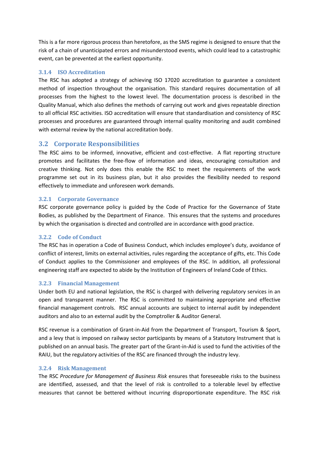This is a far more rigorous process than heretofore, as the SMS regime is designed to ensure that the risk of a chain of unanticipated errors and misunderstood events, which could lead to a catastrophic event, can be prevented at the earliest opportunity.

#### <span id="page-7-0"></span>**3.1.4 ISO Accreditation**

The RSC has adopted a strategy of achieving ISO 17020 accreditation to guarantee a consistent method of inspection throughout the organisation. This standard requires documentation of all processes from the highest to the lowest level. The documentation process is described in the Quality Manual, which also defines the methods of carrying out work and gives repeatable direction to all official RSC activities. ISO accreditation will ensure that standardisation and consistency of RSC processes and procedures are guaranteed through internal quality monitoring and audit combined with external review by the national accreditation body.

# <span id="page-7-1"></span>**3.2 Corporate Responsibilities**

The RSC aims to be informed, innovative, efficient and cost-effective. A flat reporting structure promotes and facilitates the free-flow of information and ideas, encouraging consultation and creative thinking. Not only does this enable the RSC to meet the requirements of the work programme set out in its business plan, but it also provides the flexibility needed to respond effectively to immediate and unforeseen work demands.

#### <span id="page-7-2"></span>**3.2.1 Corporate Governance**

RSC corporate governance policy is guided by the Code of Practice for the Governance of State Bodies, as published by the Department of Finance. This ensures that the systems and procedures by which the organisation is directed and controlled are in accordance with good practice.

#### <span id="page-7-3"></span>**3.2.2 Code of Conduct**

The RSC has in operation a Code of Business Conduct, which includes employee's duty, avoidance of conflict of interest, limits on external activities, rules regarding the acceptance of gifts, etc. This Code of Conduct applies to the Commissioner and employees of the RSC. In addition, all professional engineering staff are expected to abide by the Institution of Engineers of Ireland Code of Ethics.

#### <span id="page-7-4"></span>**3.2.3 Financial Management**

Under both EU and national legislation, the RSC is charged with delivering regulatory services in an open and transparent manner. The RSC is committed to maintaining appropriate and effective financial management controls. RSC annual accounts are subject to internal audit by independent auditors and also to an external audit by the Comptroller & Auditor General.

RSC revenue is a combination of Grant-in-Aid from the Department of Transport, Tourism & Sport, and a levy that is imposed on railway sector participants by means of a Statutory Instrument that is published on an annual basis. The greater part of the Grant-in-Aid is used to fund the activities of the RAIU, but the regulatory activities of the RSC are financed through the industry levy.

#### <span id="page-7-5"></span>**3.2.4 Risk Management**

The RSC *Procedure for Management of Business Risk* ensures that foreseeable risks to the business are identified, assessed, and that the level of risk is controlled to a tolerable level by effective measures that cannot be bettered without incurring disproportionate expenditure. The RSC risk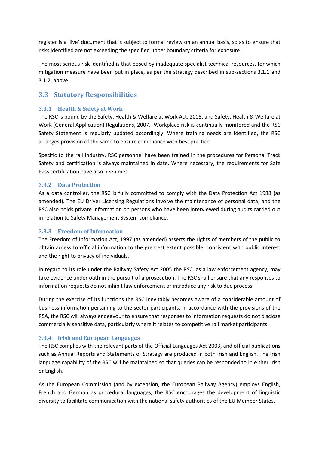register is a 'live' document that is subject to formal review on an annual basis, so as to ensure that risks identified are not exceeding the specified upper boundary criteria for exposure.

The most serious risk identified is that posed by inadequate specialist technical resources, for which mitigation measure have been put in place, as per the strategy described in sub-sections 3.1.1 and 3.1.2, above.

# <span id="page-8-0"></span>**3.3 Statutory Responsibilities**

#### <span id="page-8-1"></span>**3.3.1 Health & Safety at Work**

The RSC is bound by the Safety, Health & Welfare at Work Act, 2005, and Safety, Health & Welfare at Work (General Application) Regulations, 2007. Workplace risk is continually monitored and the RSC Safety Statement is regularly updated accordingly. Where training needs are identified, the RSC arranges provision of the same to ensure compliance with best practice.

Specific to the rail industry, RSC personnel have been trained in the procedures for Personal Track Safety and certification is always maintained in date. Where necessary, the requirements for Safe Pass certification have also been met.

#### <span id="page-8-2"></span>**3.3.2 Data Protection**

As a data controller, the RSC is fully committed to comply with the Data Protection Act 1988 (as amended). The EU Driver Licensing Regulations involve the maintenance of personal data, and the RSC also holds private information on persons who have been interviewed during audits carried out in relation to Safety Management System compliance.

#### <span id="page-8-3"></span>**3.3.3 Freedom of Information**

The Freedom of Information Act, 1997 (as amended) asserts the rights of members of the public to obtain access to official information to the greatest extent possible, consistent with public interest and the right to privacy of individuals.

In regard to its role under the Railway Safety Act 2005 the RSC, as a law enforcement agency, may take evidence under oath in the pursuit of a prosecution. The RSC shall ensure that any responses to information requests do not inhibit law enforcement or introduce any risk to due process.

During the exercise of its functions the RSC inevitably becomes aware of a considerable amount of business information pertaining to the sector participants. In accordance with the provisions of the RSA, the RSC will always endeavour to ensure that responses to information requests do not disclose commercially sensitive data, particularly where it relates to competitive rail market participants.

#### <span id="page-8-4"></span>**3.3.4 Irish and European Languages**

The RSC complies with the relevant parts of the Official Languages Act 2003, and official publications such as Annual Reports and Statements of Strategy are produced in both Irish and English. The Irish language capability of the RSC will be maintained so that queries can be responded to in either Irish or English.

As the European Commission (and by extension, the European Railway Agency) employs English, French and German as procedural languages, the RSC encourages the development of linguistic diversity to facilitate communication with the national safety authorities of the EU Member States.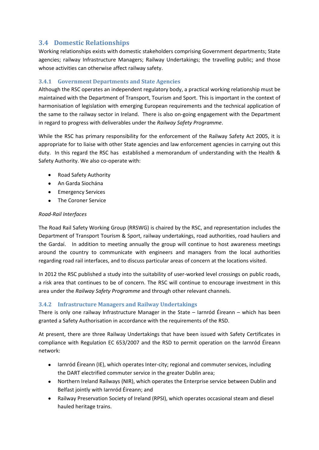# <span id="page-9-0"></span>**3.4 Domestic Relationships**

Working relationships exists with domestic stakeholders comprising Government departments; State agencies; railway Infrastructure Managers; Railway Undertakings; the travelling public; and those whose activities can otherwise affect railway safety.

#### <span id="page-9-1"></span>**3.4.1 Government Departments and State Agencies**

Although the RSC operates an independent regulatory body, a practical working relationship must be maintained with the Department of Transport, Tourism and Sport. This is important in the context of harmonisation of legislation with emerging European requirements and the technical application of the same to the railway sector in Ireland. There is also on-going engagement with the Department in regard to progress with deliverables under the *Railway Safety Programme*.

While the RSC has primary responsibility for the enforcement of the Railway Safety Act 2005, it is appropriate for to liaise with other State agencies and law enforcement agencies in carrying out this duty. In this regard the RSC has established a memorandum of understanding with the Health & Safety Authority. We also co-operate with:

- Road Safety Authority
- An Garda Siochána
- **Emergency Services**
- The Coroner Service

#### *Road-Rail Interfaces*

The Road Rail Safety Working Group (RRSWG) is chaired by the RSC, and representation includes the Department of Transport Tourism & Sport, railway undertakings, road authorities, road hauliers and the Gardaí. In addition to meeting annually the group will continue to host awareness meetings around the country to communicate with engineers and managers from the local authorities regarding road rail interfaces, and to discuss particular areas of concern at the locations visited.

In 2012 the RSC published a study into the suitability of user-worked level crossings on public roads, a risk area that continues to be of concern. The RSC will continue to encourage investment in this area under the *Railway Safety Programme* and through other relevant channels.

#### <span id="page-9-2"></span>**3.4.2 Infrastructure Managers and Railway Undertakings**

There is only one railway Infrastructure Manager in the State – Iarnród Éireann – which has been granted a Safety Authorisation in accordance with the requirements of the RSD.

At present, there are three Railway Undertakings that have been issued with Safety Certificates in compliance with Regulation EC 653/2007 and the RSD to permit operation on the Iarnród Éireann network:

- larnród Éireann (IE), which operates Inter-city; regional and commuter services, including the DART electrified commuter service in the greater Dublin area;
- Northern Ireland Railways (NIR), which operates the Enterprise service between Dublin and Belfast jointly with Iarnród Éireann; and
- Railway Preservation Society of Ireland (RPSI), which operates occasional steam and diesel hauled heritage trains.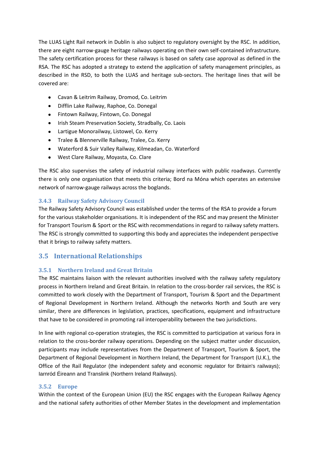The LUAS Light Rail network in Dublin is also subject to regulatory oversight by the RSC. In addition, there are eight narrow-gauge heritage railways operating on their own self-contained infrastructure. The safety certification process for these railways is based on safety case approval as defined in the RSA. The RSC has adopted a strategy to extend the application of safety management principles, as described in the RSD, to both the LUAS and heritage sub-sectors. The heritage lines that will be covered are:

- Cavan & Leitrim Railway, Dromod, Co. Leitrim
- $\bullet$ Difflin Lake Railway, Raphoe, Co. Donegal
- Fintown Railway, Fintown, Co. Donegal
- Irish Steam Preservation Society, Stradbally, Co. Laois  $\bullet$
- Lartigue Monorailway, Listowel, Co. Kerry
- Tralee & Blennerville Railway, Tralee, Co. Kerry
- Waterford & Suir Valley Railway, Kilmeadan, Co. Waterford
- West Clare Railway, Moyasta, Co. Clare

The RSC also supervises the safety of industrial railway interfaces with public roadways. Currently there is only one organisation that meets this criteria; Bord na Móna which operates an extensive network of narrow-gauge railways across the boglands.

#### <span id="page-10-0"></span>**3.4.3 Railway Safety Advisory Council**

The Railway Safety Advisory Council was established under the terms of the RSA to provide a forum for the various stakeholder organisations. It is independent of the RSC and may present the Minister for Transport Tourism & Sport or the RSC with recommendations in regard to railway safety matters. The RSC is strongly committed to supporting this body and appreciates the independent perspective that it brings to railway safety matters.

# <span id="page-10-1"></span>**3.5 International Relationships**

#### <span id="page-10-2"></span>**3.5.1 Northern Ireland and Great Britain**

The RSC maintains liaison with the relevant authorities involved with the railway safety regulatory process in Northern Ireland and Great Britain. In relation to the cross-border rail services, the RSC is committed to work closely with the Department of Transport, Tourism & Sport and the Department of Regional Development in Northern Ireland. Although the networks North and South are very similar, there are differences in legislation, practices, specifications, equipment and infrastructure that have to be considered in promoting rail interoperability between the two jurisdictions.

In line with regional co-operation strategies, the RSC is committed to participation at various fora in relation to the cross-border railway operations. Depending on the subject matter under discussion, participants may include representatives from the Department of Transport, Tourism & Sport, the Department of Regional Development in Northern Ireland, the Department for Transport (U.K.), the Office of the Rail Regulator (the independent safety and economic regulator for Britain's railways); Iarnród Éireann and Translink (Northern Ireland Railways).

#### <span id="page-10-3"></span>**3.5.2 Europe**

Within the context of the European Union (EU) the RSC engages with the European Railway Agency and the national safety authorities of other Member States in the development and implementation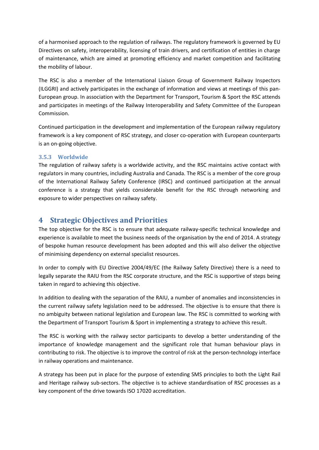of a harmonised approach to the regulation of railways. The regulatory framework is governed by EU Directives on safety, interoperability, licensing of train drivers, and certification of entities in charge of maintenance, which are aimed at promoting efficiency and market competition and facilitating the mobility of labour.

The RSC is also a member of the International Liaison Group of Government Railway Inspectors (ILGGRI) and actively participates in the exchange of information and views at meetings of this pan-European group. In association with the Department for Transport, Tourism & Sport the RSC attends and participates in meetings of the Railway Interoperability and Safety Committee of the European Commission.

Continued participation in the development and implementation of the European railway regulatory framework is a key component of RSC strategy, and closer co-operation with European counterparts is an on-going objective.

#### <span id="page-11-0"></span>**3.5.3 Worldwide**

The regulation of railway safety is a worldwide activity, and the RSC maintains active contact with regulators in many countries, including Australia and Canada. The RSC is a member of the core group of the International Railway Safety Conference (IRSC) and continued participation at the annual conference is a strategy that yields considerable benefit for the RSC through networking and exposure to wider perspectives on railway safety.

# <span id="page-11-1"></span>**4 Strategic Objectives and Priorities**

The top objective for the RSC is to ensure that adequate railway-specific technical knowledge and experience is available to meet the business needs of the organisation by the end of 2014. A strategy of bespoke human resource development has been adopted and this will also deliver the objective of minimising dependency on external specialist resources.

In order to comply with EU Directive 2004/49/EC (the Railway Safety Directive) there is a need to legally separate the RAIU from the RSC corporate structure, and the RSC is supportive of steps being taken in regard to achieving this objective.

In addition to dealing with the separation of the RAIU, a number of anomalies and inconsistencies in the current railway safety legislation need to be addressed. The objective is to ensure that there is no ambiguity between national legislation and European law. The RSC is committed to working with the Department of Transport Tourism & Sport in implementing a strategy to achieve this result.

The RSC is working with the railway sector participants to develop a better understanding of the importance of knowledge management and the significant role that human behaviour plays in contributing to risk. The objective is to improve the control of risk at the person-technology interface in railway operations and maintenance.

A strategy has been put in place for the purpose of extending SMS principles to both the Light Rail and Heritage railway sub-sectors. The objective is to achieve standardisation of RSC processes as a key component of the drive towards ISO 17020 accreditation.